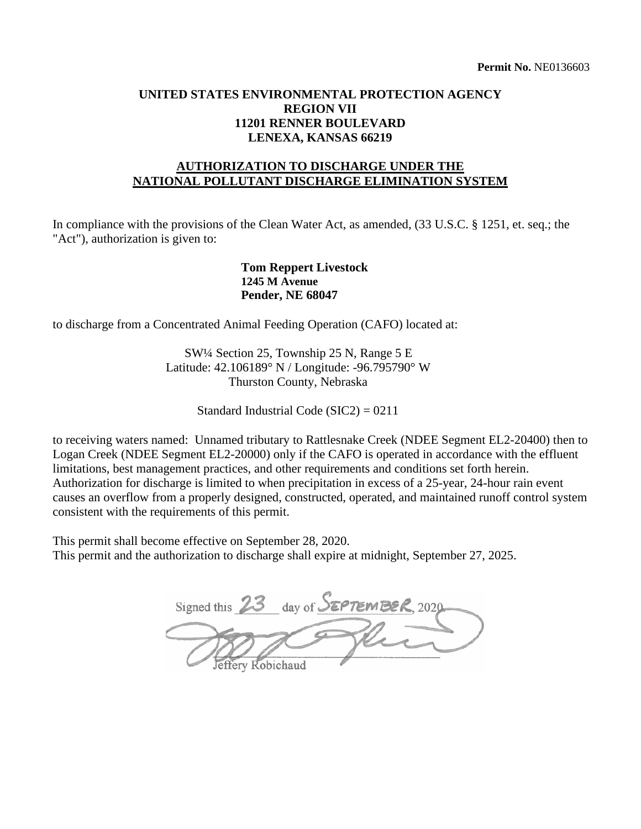## **UNITED STATES ENVIRONMENTAL PROTECTION AGENCY REGION VII 11201 RENNER BOULEVARD LENEXA, KANSAS 66219**

## **AUTHORIZATION TO DISCHARGE UNDER THE NATIONAL POLLUTANT DISCHARGE ELIMINATION SYSTEM**

In compliance with the provisions of the Clean Water Act, as amended,  $(33 \text{ U.S.C.} \text{ § } 1251, \text{ et.} \text{ seq.}; \text{ the }$ "Act"), authorization is given to:

> **Tom Reppert Livestock 1245 M Avenue Pender, NE 68047**

to discharge from a Concentrated Animal Feeding Operation (CAFO) located at:

 SW¼ Section 25, Township 25 N, Range 5 E Latitude: 42.106189° N / Longitude: -96.795790° W Thurston County, Nebraska

Standard Industrial Code (SIC2) = 0211

 causes an overflow from a properly designed, constructed, operated, and maintained runoff control system to receiving waters named: Unnamed tributary to Rattlesnake Creek (NDEE Segment EL2-20400) then to Logan Creek (NDEE Segment EL2-20000) only if the CAFO is operated in accordance with the effluent limitations, best management practices, and other requirements and conditions set forth herein. Authorization for discharge is limited to when precipitation in excess of a 25-year, 24-hour rain event consistent with the requirements of this permit.

This permit shall become effective on September 28, 2020. This permit and the authorization to discharge shall expire at midnight, September 27, 2025.

Signed this 23 day of SEPTEMBER, 2020 effery Robichaud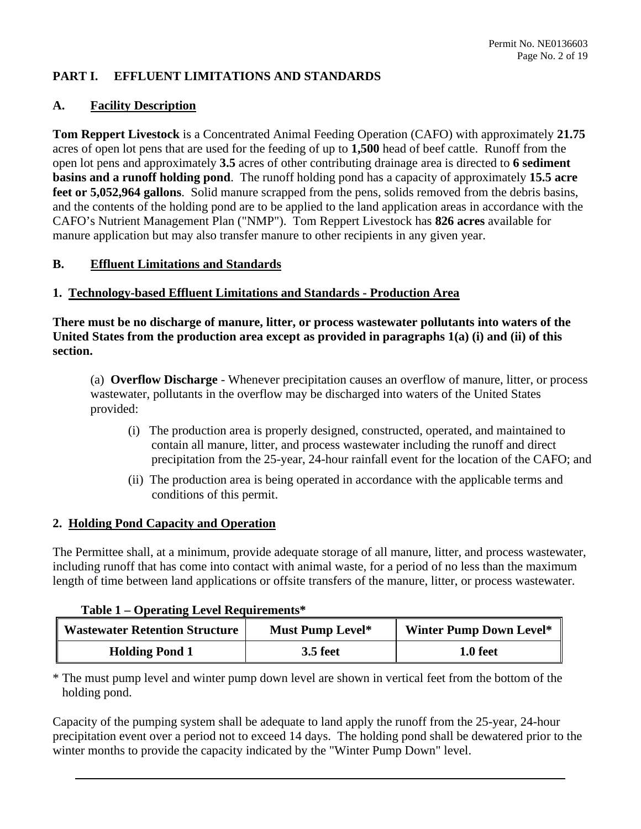#### **PART I. EFFLUENT LIMITATIONS AND STANDARDS**

#### **A. Facility Description**

 **Tom Reppert Livestock** is a Concentrated Animal Feeding Operation (CAFO) with approximately **21.75**  open lot pens and approximately **3.5** acres of other contributing drainage area is directed to **6 sediment feet or 5,052,964 gallons**. Solid manure scrapped from the pens, solids removed from the debris basins, CAFO's Nutrient Management Plan ("NMP"). Tom Reppert Livestock has **826 acres** available for acres of open lot pens that are used for the feeding of up to **1,500** head of beef cattle. Runoff from the **basins and a runoff holding pond**. The runoff holding pond has a capacity of approximately **15.5 acre**  and the contents of the holding pond are to be applied to the land application areas in accordance with the manure application but may also transfer manure to other recipients in any given year.

## **B. Effluent Limitations and Standards**

#### **1. Technology-based Effluent Limitations and Standards - Production Area**

**There must be no discharge of manure, litter, or process wastewater pollutants into waters of the United States from the production area except as provided in paragraphs 1(a) (i) and (ii) of this section.** 

 (a) **Overflow Discharge** - Whenever precipitation causes an overflow of manure, litter, or process wastewater, pollutants in the overflow may be discharged into waters of the United States provided:

- (i) The production area is properly designed, constructed, operated, and maintained to contain all manure, litter, and process wastewater including the runoff and direct precipitation from the 25-year, 24-hour rainfall event for the location of the CAFO; and
- (ii) The production area is being operated in accordance with the applicable terms and conditions of this permit.

#### **2. Holding Pond Capacity and Operation**

 The Permittee shall, at a minimum, provide adequate storage of all manure, litter, and process wastewater, length of time between land applications or offsite transfers of the manure, litter, or process wastewater. including runoff that has come into contact with animal waste, for a period of no less than the maximum

#### **Table 1 – Operating Level Requirements\***

| <b>Wastewater Retention Structure</b> | Must Pump Level* | <b>Winter Pump Down Level*</b> |
|---------------------------------------|------------------|--------------------------------|
| <b>Holding Pond 1</b>                 | <b>3.5 feet</b>  | 1.0 feet                       |

\* The must pump level and winter pump down level are shown in vertical feet from the bottom of the holding pond.

 winter months to provide the capacity indicated by the "Winter Pump Down" level. Capacity of the pumping system shall be adequate to land apply the runoff from the 25-year, 24-hour precipitation event over a period not to exceed 14 days. The holding pond shall be dewatered prior to the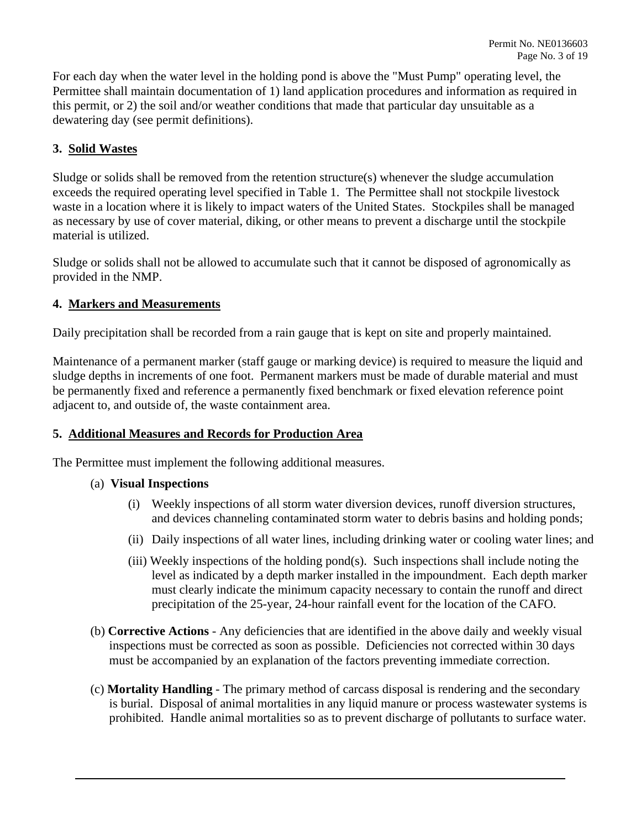For each day when the water level in the holding pond is above the "Must Pump" operating level, the Permittee shall maintain documentation of 1) land application procedures and information as required in this permit, or 2) the soil and/or weather conditions that made that particular day unsuitable as a dewatering day (see permit definitions).

## **3. Solid Wastes**

 Sludge or solids shall be removed from the retention structure(s) whenever the sludge accumulation exceeds the required operating level specified in Table 1. The Permittee shall not stockpile livestock material is utilized. waste in a location where it is likely to impact waters of the United States. Stockpiles shall be managed as necessary by use of cover material, diking, or other means to prevent a discharge until the stockpile

Sludge or solids shall not be allowed to accumulate such that it cannot be disposed of agronomically as provided in the NMP.

## **4. Markers and Measurements**

Daily precipitation shall be recorded from a rain gauge that is kept on site and properly maintained.

 sludge depths in increments of one foot. Permanent markers must be made of durable material and must Maintenance of a permanent marker (staff gauge or marking device) is required to measure the liquid and be permanently fixed and reference a permanently fixed benchmark or fixed elevation reference point adjacent to, and outside of, the waste containment area.

## **5. Additional Measures and Records for Production Area**

The Permittee must implement the following additional measures.

## (a) **Visual Inspections**

- (i) Weekly inspections of all storm water diversion devices, runoff diversion structures, and devices channeling contaminated storm water to debris basins and holding ponds;
- (ii) Daily inspections of all water lines, including drinking water or cooling water lines; and
- (iii) Weekly inspections of the holding pond(s). Such inspections shall include noting the level as indicated by a depth marker installed in the impoundment. Each depth marker must clearly indicate the minimum capacity necessary to contain the runoff and direct precipitation of the 25-year, 24-hour rainfall event for the location of the CAFO.
- (b) **Corrective Actions**  Any deficiencies that are identified in the above daily and weekly visual inspections must be corrected as soon as possible. Deficiencies not corrected within 30 days must be accompanied by an explanation of the factors preventing immediate correction.
- (c) **Mortality Handling**  The primary method of carcass disposal is rendering and the secondary is burial. Disposal of animal mortalities in any liquid manure or process wastewater systems is prohibited. Handle animal mortalities so as to prevent discharge of pollutants to surface water.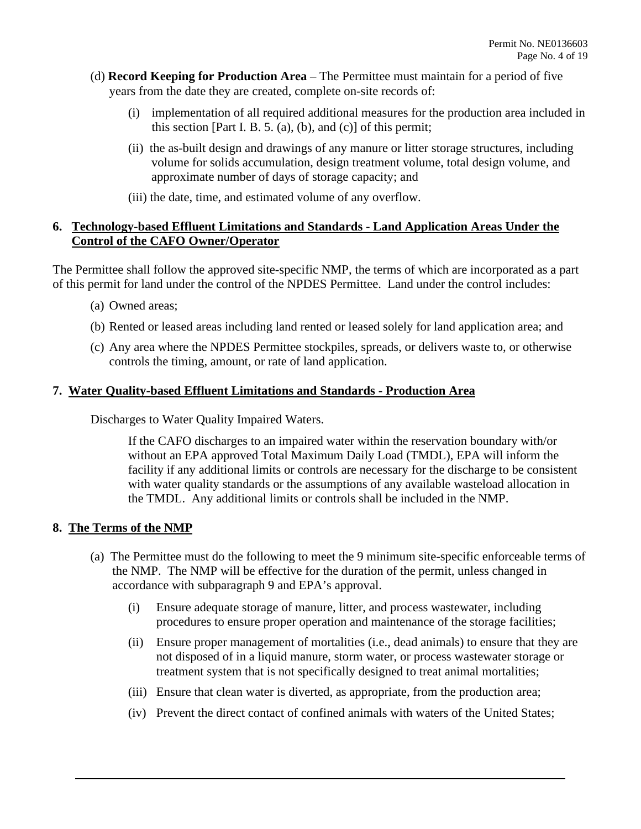- (d) **Record Keeping for Production Area**  The Permittee must maintain for a period of five years from the date they are created, complete on-site records of:
	- (i) implementation of all required additional measures for the production area included in this section [Part I. B. 5. (a), (b), and (c)] of this permit;
	- (ii) the as-built design and drawings of any manure or litter storage structures, including volume for solids accumulation, design treatment volume, total design volume, and approximate number of days of storage capacity; and
	- (iii) the date, time, and estimated volume of any overflow.

## **6. Technology-based Effluent Limitations and Standards - Land Application Areas Under the Control of the CAFO Owner/Operator**

The Permittee shall follow the approved site-specific NMP, the terms of which are incorporated as a part of this permit for land under the control of the NPDES Permittee. Land under the control includes:

- (a) Owned areas;
- (b) Rented or leased areas including land rented or leased solely for land application area; and
- (c) Any area where the NPDES Permittee stockpiles, spreads, or delivers waste to, or otherwise controls the timing, amount, or rate of land application.

## **7. Water Quality-based Effluent Limitations and Standards - Production Area**

Discharges to Water Quality Impaired Waters.

If the CAFO discharges to an impaired water within the reservation boundary with/or without an EPA approved Total Maximum Daily Load (TMDL), EPA will inform the facility if any additional limits or controls are necessary for the discharge to be consistent with water quality standards or the assumptions of any available wasteload allocation in the TMDL. Any additional limits or controls shall be included in the NMP.

## **8. The Terms of the NMP**

- accordance with subparagraph 9 and EPA's approval. (a) The Permittee must do the following to meet the 9 minimum site-specific enforceable terms of the NMP. The NMP will be effective for the duration of the permit, unless changed in
	- procedures to ensure proper operation and maintenance of the storage facilities; (i) Ensure adequate storage of manure, litter, and process wastewater, including
	- (ii) Ensure proper management of mortalities (i.e., dead animals) to ensure that they are not disposed of in a liquid manure, storm water, or process wastewater storage or treatment system that is not specifically designed to treat animal mortalities;
	- (iii) Ensure that clean water is diverted, as appropriate, from the production area;
	- (iv) Prevent the direct contact of confined animals with waters of the United States;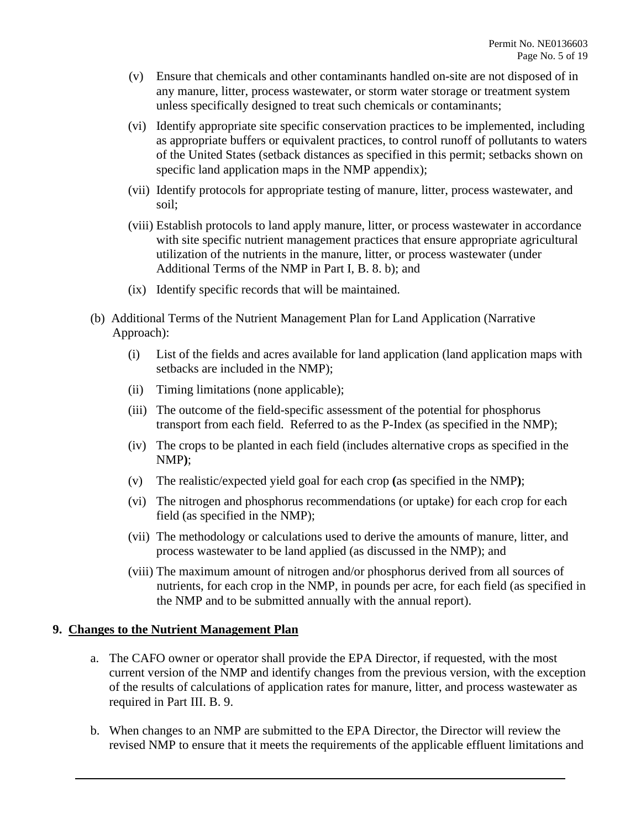- (v) Ensure that chemicals and other contaminants handled on-site are not disposed of in any manure, litter, process wastewater, or storm water storage or treatment system unless specifically designed to treat such chemicals or contaminants;
- specific land application maps in the NMP appendix); (vi) Identify appropriate site specific conservation practices to be implemented, including as appropriate buffers or equivalent practices, to control runoff of pollutants to waters of the United States (setback distances as specified in this permit; setbacks shown on
- (vii) Identify protocols for appropriate testing of manure, litter, process wastewater, and soil;
- Additional Terms of the NMP in Part I, B. 8. b); and (viii) Establish protocols to land apply manure, litter, or process wastewater in accordance with site specific nutrient management practices that ensure appropriate agricultural utilization of the nutrients in the manure, litter, or process wastewater (under
- (ix) Identify specific records that will be maintained.
- (b) Additional Terms of the Nutrient Management Plan for Land Application (Narrative Approach):
	- (i) List of the fields and acres available for land application (land application maps with setbacks are included in the NMP);
	- (ii) Timing limitations (none applicable);
	- (iii) The outcome of the field-specific assessment of the potential for phosphorus transport from each field. Referred to as the P-Index (as specified in the NMP);
	- (iv) The crops to be planted in each field (includes alternative crops as specified in the NMP**)**;
	- (v) The realistic/expected yield goal for each crop **(**as specified in the NMP**)**;
	- (vi) The nitrogen and phosphorus recommendations (or uptake) for each crop for each field (as specified in the NMP);
	- (vii) The methodology or calculations used to derive the amounts of manure, litter, and process wastewater to be land applied (as discussed in the NMP); and
	- the NMP and to be submitted annually with the annual report). (viii) The maximum amount of nitrogen and/or phosphorus derived from all sources of nutrients, for each crop in the NMP, in pounds per acre, for each field (as specified in

#### **9. Changes to the Nutrient Management Plan**

- a. The CAFO owner or operator shall provide the EPA Director, if requested, with the most of the results of calculations of application rates for manure, litter, and process wastewater as required in Part III. B. 9. current version of the NMP and identify changes from the previous version, with the exception
- revised NMP to ensure that it meets the requirements of the applicable effluent limitations and b. When changes to an NMP are submitted to the EPA Director, the Director will review the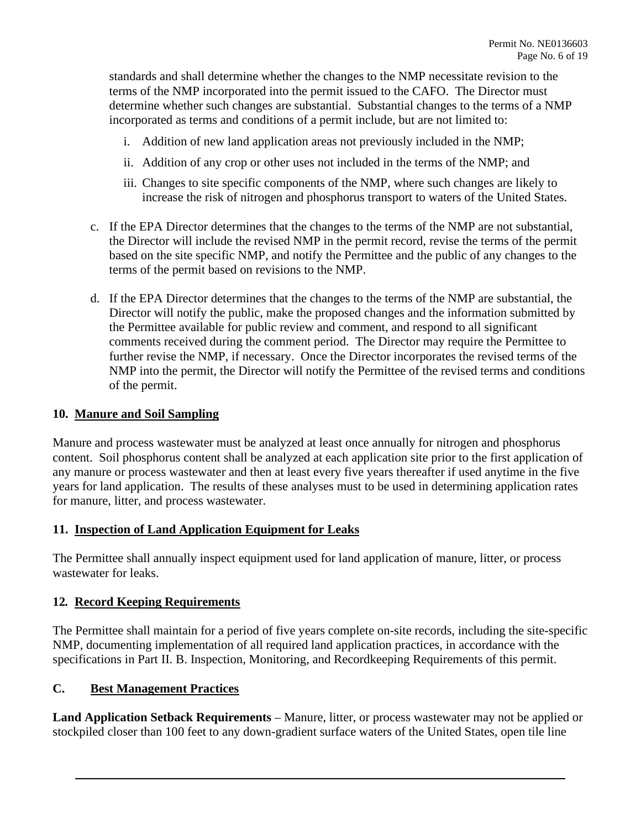standards and shall determine whether the changes to the NMP necessitate revision to the determine whether such changes are substantial. Substantial changes to the terms of a NMP terms of the NMP incorporated into the permit issued to the CAFO. The Director must incorporated as terms and conditions of a permit include, but are not limited to:

- i. Addition of new land application areas not previously included in the NMP;
- ii. Addition of any crop or other uses not included in the terms of the NMP; and
- iii. Changes to site specific components of the NMP, where such changes are likely to increase the risk of nitrogen and phosphorus transport to waters of the United States.
- c. If the EPA Director determines that the changes to the terms of the NMP are not substantial, the Director will include the revised NMP in the permit record, revise the terms of the permit based on the site specific NMP, and notify the Permittee and the public of any changes to the terms of the permit based on revisions to the NMP.
- the Permittee available for public review and comment, and respond to all significant d. If the EPA Director determines that the changes to the terms of the NMP are substantial, the Director will notify the public, make the proposed changes and the information submitted by comments received during the comment period. The Director may require the Permittee to further revise the NMP, if necessary. Once the Director incorporates the revised terms of the NMP into the permit, the Director will notify the Permittee of the revised terms and conditions of the permit.

#### **10. Manure and Soil Sampling**

 Manure and process wastewater must be analyzed at least once annually for nitrogen and phosphorus any manure or process wastewater and then at least every five years thereafter if used anytime in the five years for land application. The results of these analyses must to be used in determining application rates content. Soil phosphorus content shall be analyzed at each application site prior to the first application of for manure, litter, and process wastewater.

## **11. Inspection of Land Application Equipment for Leaks**

The Permittee shall annually inspect equipment used for land application of manure, litter, or process wastewater for leaks.

#### **12***.* **Record Keeping Requirements**

The Permittee shall maintain for a period of five years complete on-site records, including the site-specific NMP, documenting implementation of all required land application practices, in accordance with the specifications in Part II. B. Inspection, Monitoring, and Recordkeeping Requirements of this permit.

#### **C. Best Management Practices**

 **Land Application Setback Requirements** – Manure, litter, or process wastewater may not be applied or stockpiled closer than 100 feet to any down-gradient surface waters of the United States, open tile line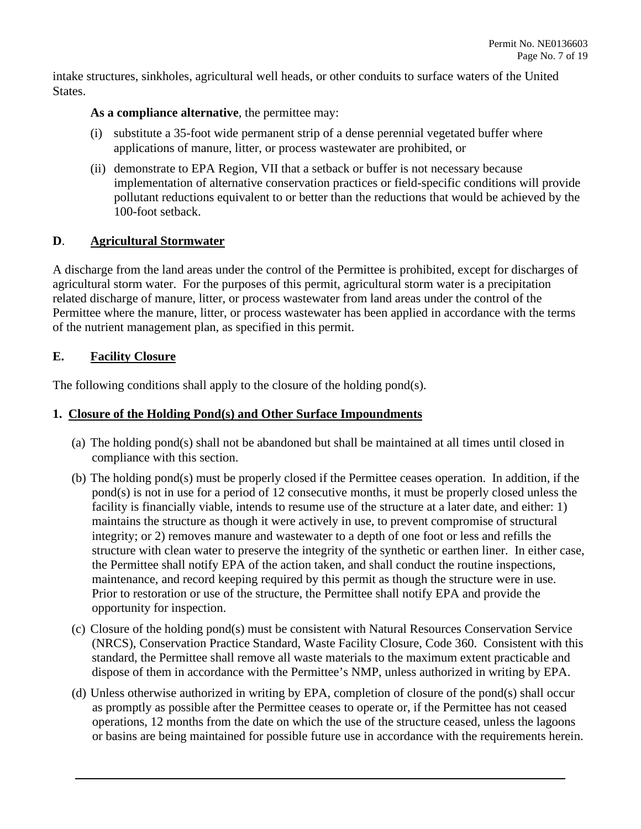intake structures, sinkholes, agricultural well heads, or other conduits to surface waters of the United States.

## As a compliance alternative, the permittee may:

- (i) substitute a 35-foot wide permanent strip of a dense perennial vegetated buffer where applications of manure, litter, or process wastewater are prohibited, or
- (ii) demonstrate to EPA Region, VII that a setback or buffer is not necessary because implementation of alternative conservation practices or field-specific conditions will provide pollutant reductions equivalent to or better than the reductions that would be achieved by the 100-foot setback.

## **D**. **Agricultural Stormwater**

 A discharge from the land areas under the control of the Permittee is prohibited, except for discharges of agricultural storm water. For the purposes of this permit, agricultural storm water is a precipitation Permittee where the manure, litter, or process wastewater has been applied in accordance with the terms related discharge of manure, litter, or process wastewater from land areas under the control of the of the nutrient management plan, as specified in this permit.

## **E. Facility Closure**

The following conditions shall apply to the closure of the holding pond(s).

## **1. Closure of the Holding Pond(s) and Other Surface Impoundments**

- (a) The holding pond(s) shall not be abandoned but shall be maintained at all times until closed in compliance with this section.
- pond(s) is not in use for a period of 12 consecutive months, it must be properly closed unless the Prior to restoration or use of the structure, the Permittee shall notify EPA and provide the (b) The holding pond(s) must be properly closed if the Permittee ceases operation. In addition, if the facility is financially viable, intends to resume use of the structure at a later date, and either: 1) maintains the structure as though it were actively in use, to prevent compromise of structural integrity; or 2) removes manure and wastewater to a depth of one foot or less and refills the structure with clean water to preserve the integrity of the synthetic or earthen liner. In either case, the Permittee shall notify EPA of the action taken, and shall conduct the routine inspections, maintenance, and record keeping required by this permit as though the structure were in use. opportunity for inspection.
- (c) Closure of the holding pond(s) must be consistent with Natural Resources Conservation Service (NRCS), Conservation Practice Standard, Waste Facility Closure, Code 360. Consistent with this standard, the Permittee shall remove all waste materials to the maximum extent practicable and dispose of them in accordance with the Permittee's NMP, unless authorized in writing by EPA.
- (d) Unless otherwise authorized in writing by EPA, completion of closure of the pond(s) shall occur as promptly as possible after the Permittee ceases to operate or, if the Permittee has not ceased operations, 12 months from the date on which the use of the structure ceased, unless the lagoons or basins are being maintained for possible future use in accordance with the requirements herein.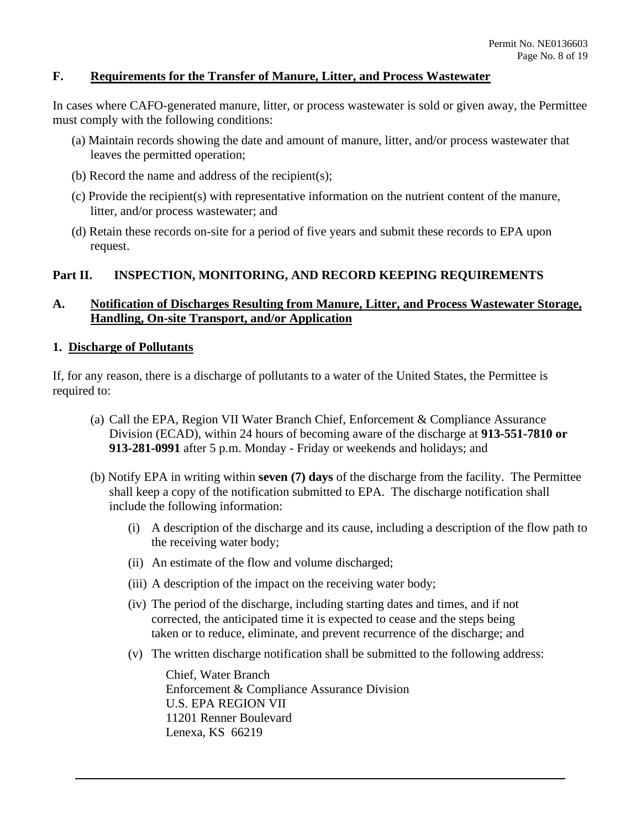## **F. Requirements for the Transfer of Manure, Litter, and Process Wastewater**

In cases where CAFO-generated manure, litter, or process wastewater is sold or given away, the Permittee must comply with the following conditions:

- (a) Maintain records showing the date and amount of manure, litter, and/or process wastewater that leaves the permitted operation;
- (b) Record the name and address of the recipient(s);
- litter, and/or process wastewater; and (c) Provide the recipient(s) with representative information on the nutrient content of the manure,
- (d) Retain these records on-site for a period of five years and submit these records to EPA upon request.

#### **Part II. INSPECTION, MONITORING, AND RECORD KEEPING REQUIREMENTS**

## **A. Notification of Discharges Resulting from Manure, Litter, and Process Wastewater Storage, Handling, On-site Transport, and/or Application**

#### **1. Discharge of Pollutants**

required to: If, for any reason, there is a discharge of pollutants to a water of the United States, the Permittee is

- required to: (a) Call the EPA, Region VII Water Branch Chief, Enforcement & Compliance Assurance Division (ECAD), within 24 hours of becoming aware of the discharge at **913-551-7810 or 913-281-0991** after 5 p.m. Monday - Friday or weekends and holidays; and
	- (b) Notify EPA in writing within **seven (7) days** of the discharge from the facility. The Permittee shall keep a copy of the notification submitted to EPA. The discharge notification shall include the following information:
		- (i) A description of the discharge and its cause, including a description of the flow path to the receiving water body;
		- (ii) An estimate of the flow and volume discharged;
		- (ii) An estimate of the flow and volume discharged; (iii) A description of the impact on the receiving water body;
		- (iv) The period of the discharge, including starting dates and times, and if not corrected, the anticipated time it is expected to cease and the steps being taken or to reduce, eliminate, and prevent recurrence of the discharge; and
		- (v) The written discharge notification shall be submitted to the following address:

 Enforcement & Compliance Assurance Division Chief, Water Branch U.S. EPA REGION VII 11201 Renner Boulevard Lenexa, KS 66219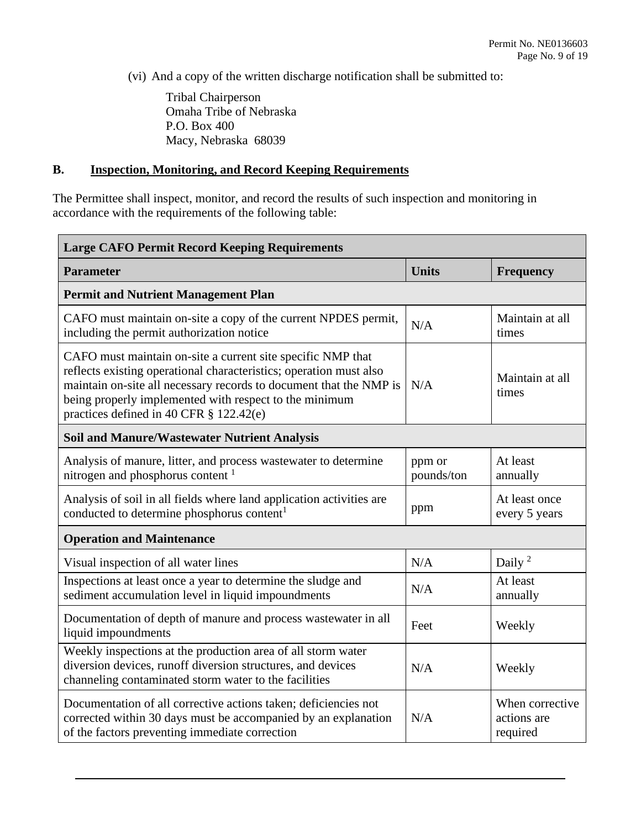(vi) And a copy of the written discharge notification shall be submitted to:

 Macy, Nebraska 68039 Tribal Chairperson Omaha Tribe of Nebraska P.O. Box 400

## **B. Inspection, Monitoring, and Record Keeping Requirements**

The Permittee shall inspect, monitor, and record the results of such inspection and monitoring in accordance with the requirements of the following table:

| <b>Large CAFO Permit Record Keeping Requirements</b>                                                                                                                                                                                                                                                            |                      |                                            |  |  |
|-----------------------------------------------------------------------------------------------------------------------------------------------------------------------------------------------------------------------------------------------------------------------------------------------------------------|----------------------|--------------------------------------------|--|--|
| <b>Parameter</b>                                                                                                                                                                                                                                                                                                | <b>Units</b>         | <b>Frequency</b>                           |  |  |
| <b>Permit and Nutrient Management Plan</b>                                                                                                                                                                                                                                                                      |                      |                                            |  |  |
| CAFO must maintain on-site a copy of the current NPDES permit,<br>including the permit authorization notice                                                                                                                                                                                                     | N/A                  | Maintain at all<br>times                   |  |  |
| CAFO must maintain on-site a current site specific NMP that<br>reflects existing operational characteristics; operation must also<br>maintain on-site all necessary records to document that the NMP is<br>being properly implemented with respect to the minimum<br>practices defined in 40 CFR $\S$ 122.42(e) | N/A                  | Maintain at all<br>times                   |  |  |
| <b>Soil and Manure/Wastewater Nutrient Analysis</b>                                                                                                                                                                                                                                                             |                      |                                            |  |  |
| Analysis of manure, litter, and process wastewater to determine<br>nitrogen and phosphorus content <sup>1</sup>                                                                                                                                                                                                 | ppm or<br>pounds/ton | At least<br>annually                       |  |  |
| Analysis of soil in all fields where land application activities are<br>conducted to determine phosphorus content <sup>1</sup>                                                                                                                                                                                  | ppm                  | At least once<br>every 5 years             |  |  |
| <b>Operation and Maintenance</b>                                                                                                                                                                                                                                                                                |                      |                                            |  |  |
| Visual inspection of all water lines                                                                                                                                                                                                                                                                            | N/A                  | Daily <sup>2</sup>                         |  |  |
| Inspections at least once a year to determine the sludge and<br>sediment accumulation level in liquid impoundments                                                                                                                                                                                              | N/A                  | At least<br>annually                       |  |  |
| Documentation of depth of manure and process wastewater in all<br>liquid impoundments                                                                                                                                                                                                                           | Feet                 | Weekly                                     |  |  |
| Weekly inspections at the production area of all storm water<br>diversion devices, runoff diversion structures, and devices<br>channeling contaminated storm water to the facilities                                                                                                                            | N/A                  | Weekly                                     |  |  |
| Documentation of all corrective actions taken; deficiencies not<br>corrected within 30 days must be accompanied by an explanation<br>of the factors preventing immediate correction                                                                                                                             | N/A                  | When corrective<br>actions are<br>required |  |  |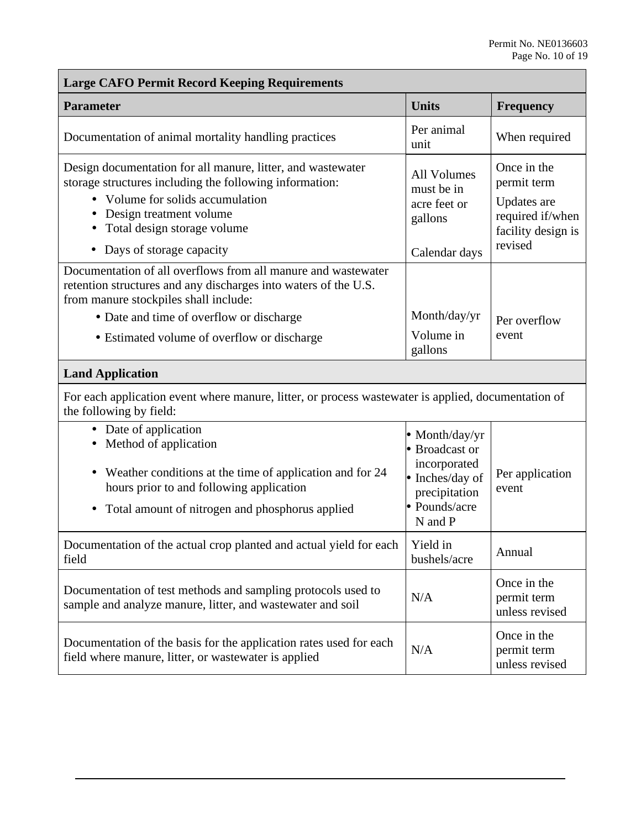| <b>Large CAFO Permit Record Keeping Requirements</b>                                                                                                                                                                                                 |                                                                                                                  |                                                                                                |  |  |
|------------------------------------------------------------------------------------------------------------------------------------------------------------------------------------------------------------------------------------------------------|------------------------------------------------------------------------------------------------------------------|------------------------------------------------------------------------------------------------|--|--|
| <b>Parameter</b>                                                                                                                                                                                                                                     | <b>Units</b>                                                                                                     | Frequency                                                                                      |  |  |
| Documentation of animal mortality handling practices                                                                                                                                                                                                 | Per animal<br>unit                                                                                               | When required                                                                                  |  |  |
| Design documentation for all manure, litter, and wastewater<br>storage structures including the following information:<br>Volume for solids accumulation<br>• Design treatment volume<br>• Total design storage volume<br>• Days of storage capacity | <b>All Volumes</b><br>must be in<br>acre feet or<br>gallons<br>Calendar days                                     | Once in the<br>permit term<br>Updates are<br>required if/when<br>facility design is<br>revised |  |  |
| Documentation of all overflows from all manure and wastewater<br>retention structures and any discharges into waters of the U.S.<br>from manure stockpiles shall include:<br>• Date and time of overflow or discharge                                | Month/day/yr                                                                                                     | Per overflow                                                                                   |  |  |
| • Estimated volume of overflow or discharge                                                                                                                                                                                                          | Volume in<br>gallons                                                                                             | event                                                                                          |  |  |
| <b>Land Application</b>                                                                                                                                                                                                                              |                                                                                                                  |                                                                                                |  |  |
| For each application event where manure, litter, or process wastewater is applied, documentation of<br>the following by field:                                                                                                                       |                                                                                                                  |                                                                                                |  |  |
| • Date of application<br>• Method of application<br>• Weather conditions at the time of application and for 24<br>hours prior to and following application<br>• Total amount of nitrogen and phosphorus applied                                      | • Month/day/yr<br>• Broadcast or<br>incorporated<br>• Inches/day of<br>precipitation<br>• Pounds/acre<br>N and P | Per application<br>event                                                                       |  |  |
| Documentation of the actual crop planted and actual yield for each<br>field                                                                                                                                                                          | Yield in<br>bushels/acre                                                                                         | Annual                                                                                         |  |  |
| Documentation of test methods and sampling protocols used to<br>sample and analyze manure, litter, and wastewater and soil                                                                                                                           | N/A                                                                                                              | Once in the<br>permit term<br>unless revised                                                   |  |  |
| Documentation of the basis for the application rates used for each<br>field where manure, litter, or wastewater is applied                                                                                                                           | N/A                                                                                                              | Once in the<br>permit term<br>unless revised                                                   |  |  |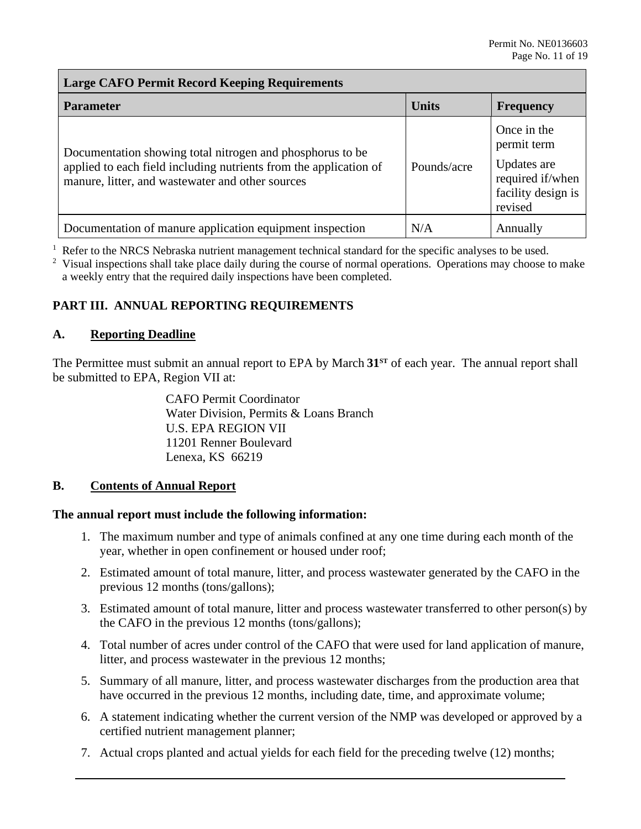## **Large CAFO Permit Record Keeping Requirements**

| <b>Parameter</b>                                                                                                                                                                   | <b>Units</b> | <b>Frequency</b>                                                                               |
|------------------------------------------------------------------------------------------------------------------------------------------------------------------------------------|--------------|------------------------------------------------------------------------------------------------|
| Documentation showing total nitrogen and phosphorus to be<br>applied to each field including nutrients from the application of<br>manure, litter, and wastewater and other sources | Pounds/acre  | Once in the<br>permit term<br>Updates are<br>required if/when<br>facility design is<br>revised |
| Documentation of manure application equipment inspection                                                                                                                           | N/A          | Annually                                                                                       |

 $<sup>1</sup>$  Refer to the NRCS Nebraska nutrient management technical standard for the specific analyses to be used.</sup>

 $2$  Visual inspections shall take place daily during the course of normal operations. Operations may choose to make a weekly entry that the required daily inspections have been completed.

## **PART III. ANNUAL REPORTING REQUIREMENTS**

## **A. Reporting Deadline**

 The Permittee must submit an annual report to EPA by March **31ST** of each year. The annual report shall be submitted to EPA, Region VII at:

> Water Division, Permits & Loans Branch CAFO Permit Coordinator U.S. EPA REGION VII 11201 Renner Boulevard Lenexa, KS 66219

#### **Contents of Annual Report**

# **B.** Contents of Annual Report<br>The annual report must include the following information:

- 1. The maximum number and type of animals confined at any one time during each month of the year, whether in open confinement or housed under roof;
- 2. Estimated amount of total manure, litter, and process wastewater generated by the CAFO in the previous 12 months (tons/gallons);
- 3. Estimated amount of total manure, litter and process wastewater transferred to other person(s) by the CAFO in the previous 12 months (tons/gallons);
- 4. Total number of acres under control of the CAFO that were used for land application of manure, litter, and process wastewater in the previous 12 months;
- have occurred in the previous 12 months, including date, time, and approximate volume; 5. Summary of all manure, litter, and process wastewater discharges from the production area that
- have occurred in the previous 12 months, including date, time, and approximate volume;<br>6. A statement indicating whether the current version of the NMP was developed or approved by a certified nutrient management planner;
- 7. Actual crops planted and actual yields for each field for the preceding twelve (12) months;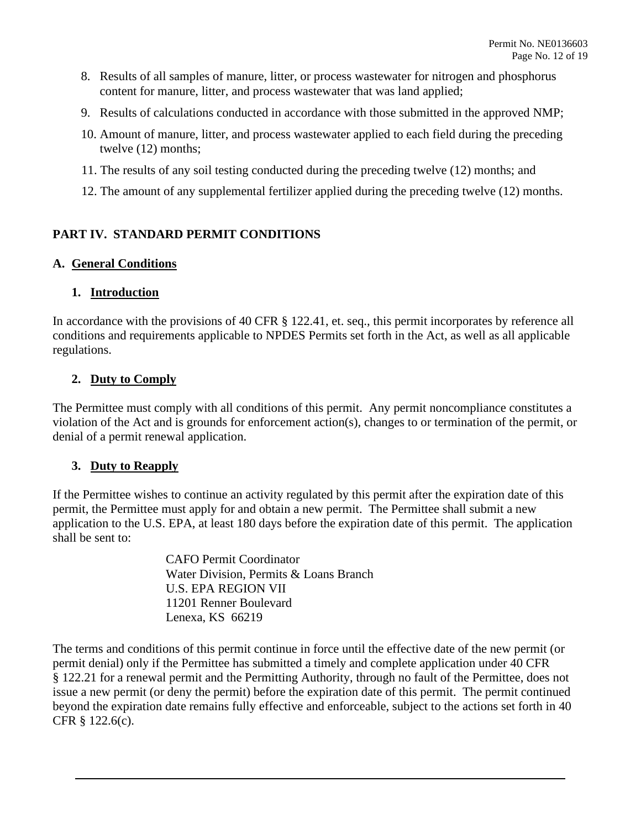- 8. Results of all samples of manure, litter, or process wastewater for nitrogen and phosphorus content for manure, litter, and process wastewater that was land applied;
- 9. Results of calculations conducted in accordance with those submitted in the approved NMP;
- 10. Amount of manure, litter, and process wastewater applied to each field during the preceding twelve (12) months;
- 11. The results of any soil testing conducted during the preceding twelve (12) months; and
- 12. The amount of any supplemental fertilizer applied during the preceding twelve (12) months.

## **PART IV. STANDARD PERMIT CONDITIONS**

## **A. General Conditions**

## **1. Introduction**

In accordance with the provisions of 40 CFR § 122.41, et. seq., this permit incorporates by reference all conditions and requirements applicable to NPDES Permits set forth in the Act, as well as all applicable regulations.

## **2. Duty to Comply**

The Permittee must comply with all conditions of this permit. Any permit noncompliance constitutes a violation of the Act and is grounds for enforcement action(s), changes to or termination of the permit, or denial of a permit renewal application.

## **3. Duty to Reapply**

 permit, the Permittee must apply for and obtain a new permit. The Permittee shall submit a new If the Permittee wishes to continue an activity regulated by this permit after the expiration date of this application to the U.S. EPA, at least 180 days before the expiration date of this permit. The application shall be sent to:

> CAFO Permit Coordinator Water Division, Permits & Loans Branch U.S. EPA REGION VII 11201 Renner Boulevard Lenexa, KS 66219

The terms and conditions of this permit continue in force until the effective date of the new permit (or permit denial) only if the Permittee has submitted a timely and complete application under 40 CFR § 122.21 for a renewal permit and the Permitting Authority, through no fault of the Permittee, does not issue a new permit (or deny the permit) before the expiration date of this permit. The permit continued beyond the expiration date remains fully effective and enforceable, subject to the actions set forth in 40 CFR § 122.6(c).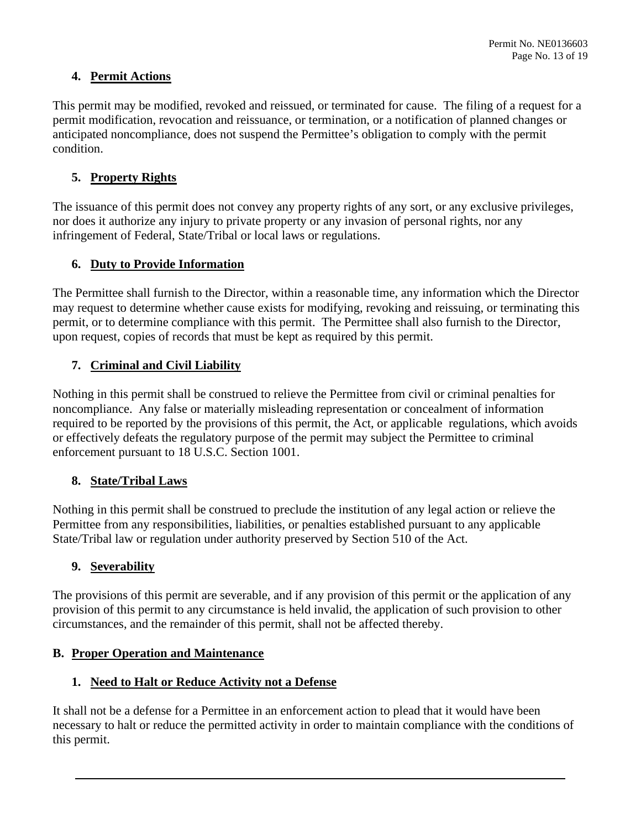## **4. Permit Actions**

 This permit may be modified, revoked and reissued, or terminated for cause. The filing of a request for a permit modification, revocation and reissuance, or termination, or a notification of planned changes or anticipated noncompliance, does not suspend the Permittee's obligation to comply with the permit condition.

## **5. Property Rights**

The issuance of this permit does not convey any property rights of any sort, or any exclusive privileges, nor does it authorize any injury to private property or any invasion of personal rights, nor any infringement of Federal, State/Tribal or local laws or regulations.

## **6. Duty to Provide Information**

 may request to determine whether cause exists for modifying, revoking and reissuing, or terminating this upon request, copies of records that must be kept as required by this permit. The Permittee shall furnish to the Director, within a reasonable time, any information which the Director permit, or to determine compliance with this permit. The Permittee shall also furnish to the Director,

## **7. Criminal and Civil Liability**

Nothing in this permit shall be construed to relieve the Permittee from civil or criminal penalties for noncompliance. Any false or materially misleading representation or concealment of information required to be reported by the provisions of this permit, the Act, or applicable regulations, which avoids or effectively defeats the regulatory purpose of the permit may subject the Permittee to criminal enforcement pursuant to 18 U.S.C. Section 1001.

## **8. State/Tribal Laws**

 Nothing in this permit shall be construed to preclude the institution of any legal action or relieve the State/Tribal law or regulation under authority preserved by Section 510 of the Act. Permittee from any responsibilities, liabilities, or penalties established pursuant to any applicable

## **9. Severability**

The provisions of this permit are severable, and if any provision of this permit or the application of any provision of this permit to any circumstance is held invalid, the application of such provision to other circumstances, and the remainder of this permit, shall not be affected thereby.

## **B. Proper Operation and Maintenance**

## **1. Need to Halt or Reduce Activity not a Defense**

It shall not be a defense for a Permittee in an enforcement action to plead that it would have been necessary to halt or reduce the permitted activity in order to maintain compliance with the conditions of this permit.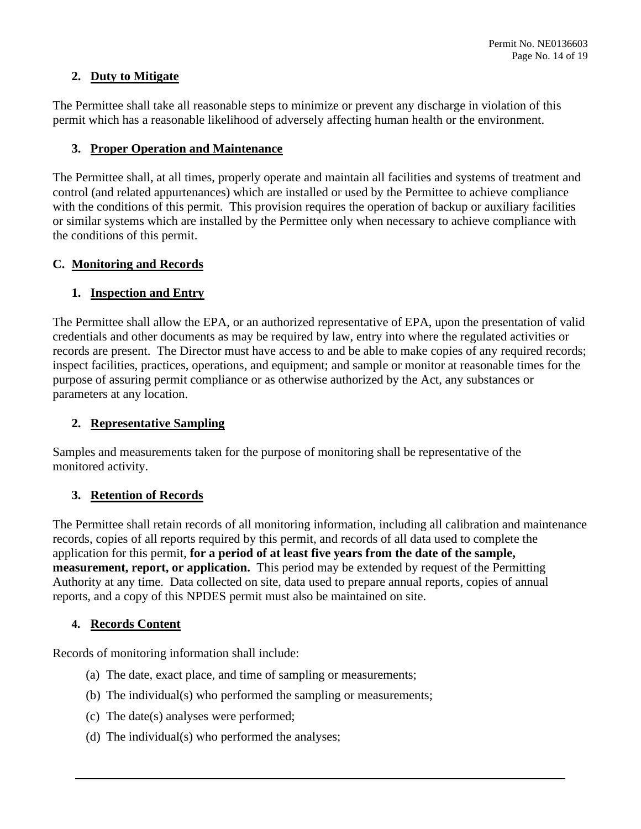## **2. Duty to Mitigate**

The Permittee shall take all reasonable steps to minimize or prevent any discharge in violation of this permit which has a reasonable likelihood of adversely affecting human health or the environment.

## **3. Proper Operation and Maintenance**

 the conditions of this permit. The Permittee shall, at all times, properly operate and maintain all facilities and systems of treatment and control (and related appurtenances) which are installed or used by the Permittee to achieve compliance with the conditions of this permit. This provision requires the operation of backup or auxiliary facilities or similar systems which are installed by the Permittee only when necessary to achieve compliance with

## **C. Monitoring and Records**

## **1. Inspection and Entry**

 credentials and other documents as may be required by law, entry into where the regulated activities or inspect facilities, practices, operations, and equipment; and sample or monitor at reasonable times for the The Permittee shall allow the EPA, or an authorized representative of EPA, upon the presentation of valid records are present. The Director must have access to and be able to make copies of any required records; purpose of assuring permit compliance or as otherwise authorized by the Act, any substances or parameters at any location.

## **2. Representative Sampling**

Samples and measurements taken for the purpose of monitoring shall be representative of the monitored activity.

## **3. Retention of Records**

 records, copies of all reports required by this permit, and records of all data used to complete the **measurement, report, or application.** This period may be extended by request of the Permitting Authority at any time. Data collected on site, data used to prepare annual reports, copies of annual The Permittee shall retain records of all monitoring information, including all calibration and maintenance application for this permit, **for a period of at least five years from the date of the sample,**  reports, and a copy of this NPDES permit must also be maintained on site.

## **4. Records Content**

Records of monitoring information shall include:

- (a) The date, exact place, and time of sampling or measurements;
- (b) The individual(s) who performed the sampling or measurements;
- (c) The date(s) analyses were performed;
- (d) The individual(s) who performed the analyses;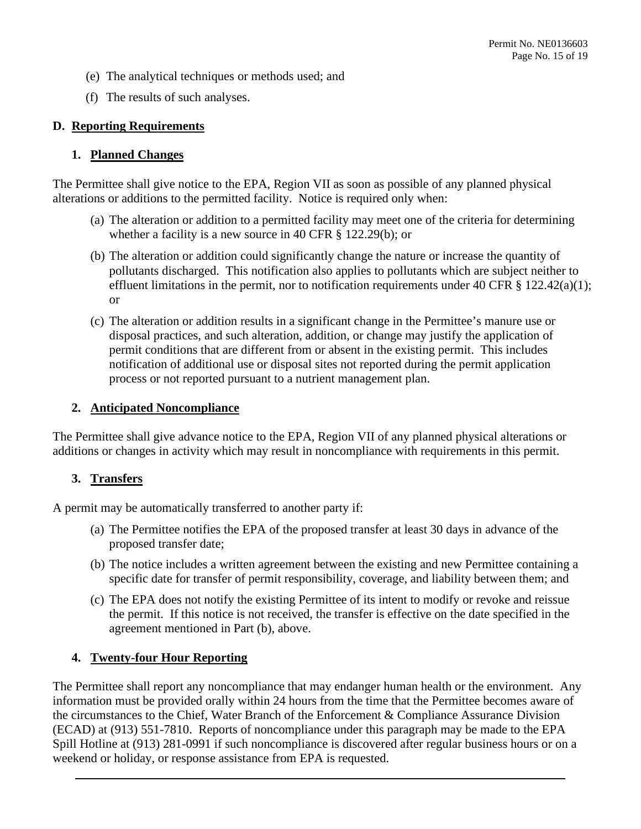- (e) The analytical techniques or methods used; and
- (f) The results of such analyses.

## **D. Reporting Requirements**

## **1. Planned Changes**

 The Permittee shall give notice to the EPA, Region VII as soon as possible of any planned physical alterations or additions to the permitted facility. Notice is required only when:

- whether a facility is a new source in 40 CFR § 122.29(b); or (a) The alteration or addition to a permitted facility may meet one of the criteria for determining
- effluent limitations in the permit, nor to notification requirements under 40 CFR  $\S 122.42(a)(1)$ ; (b) The alteration or addition could significantly change the nature or increase the quantity of pollutants discharged. This notification also applies to pollutants which are subject neither to or
- (c) The alteration or addition results in a significant change in the Permittee's manure use or disposal practices, and such alteration, addition, or change may justify the application of permit conditions that are different from or absent in the existing permit. This includes notification of additional use or disposal sites not reported during the permit application process or not reported pursuant to a nutrient management plan.

## **2. Anticipated Noncompliance**

The Permittee shall give advance notice to the EPA, Region VII of any planned physical alterations or additions or changes in activity which may result in noncompliance with requirements in this permit.

## **3. Transfers**

A permit may be automatically transferred to another party if:

- (a) The Permittee notifies the EPA of the proposed transfer at least 30 days in advance of the proposed transfer date;
- (b) The notice includes a written agreement between the existing and new Permittee containing a specific date for transfer of permit responsibility, coverage, and liability between them; and
- the permit. If this notice is not received, the transfer is effective on the date specified in the (c) The EPA does not notify the existing Permittee of its intent to modify or revoke and reissue agreement mentioned in Part (b), above.

## **4. Twenty-four Hour Reporting**

 information must be provided orally within 24 hours from the time that the Permittee becomes aware of the circumstances to the Chief, Water Branch of the Enforcement & Compliance Assurance Division The Permittee shall report any noncompliance that may endanger human health or the environment. Any (ECAD) at (913) 551-7810. Reports of noncompliance under this paragraph may be made to the EPA Spill Hotline at (913) 281-0991 if such noncompliance is discovered after regular business hours or on a weekend or holiday, or response assistance from EPA is requested.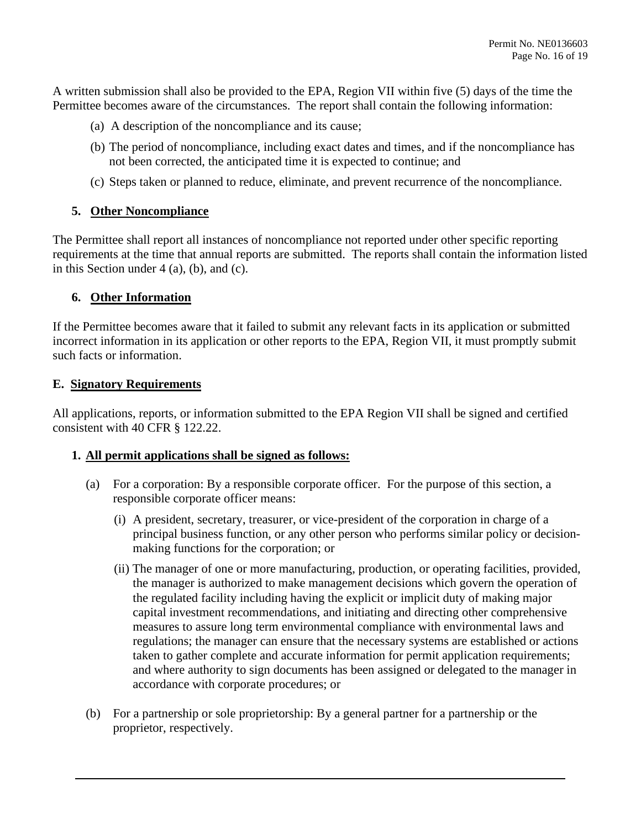A written submission shall also be provided to the EPA, Region VII within five (5) days of the time the Permittee becomes aware of the circumstances. The report shall contain the following information:

- (a) A description of the noncompliance and its cause;
- (b) The period of noncompliance, including exact dates and times, and if the noncompliance has not been corrected, the anticipated time it is expected to continue; and
- (c) Steps taken or planned to reduce, eliminate, and prevent recurrence of the noncompliance.

## **5. Other Noncompliance**

 in this Section under 4 (a), (b), and (c). The Permittee shall report all instances of noncompliance not reported under other specific reporting requirements at the time that annual reports are submitted. The reports shall contain the information listed

## **6. Other Information**

 incorrect information in its application or other reports to the EPA, Region VII, it must promptly submit If the Permittee becomes aware that it failed to submit any relevant facts in its application or submitted such facts or information.

#### **E. Signatory Requirements**

 All applications, reports, or information submitted to the EPA Region VII shall be signed and certified consistent with 40 CFR § 122.22.

## **1. All permit applications shall be signed as follows:**

- (a) For a corporation: By a responsible corporate officer. For the purpose of this section, a responsible corporate officer means:
	- (i) A president, secretary, treasurer, or vice-president of the corporation in charge of a principal business function, or any other person who performs similar policy or decisionmaking functions for the corporation; or
	- taken to gather complete and accurate information for permit application requirements; (ii) The manager of one or more manufacturing, production, or operating facilities, provided, the manager is authorized to make management decisions which govern the operation of the regulated facility including having the explicit or implicit duty of making major capital investment recommendations, and initiating and directing other comprehensive measures to assure long term environmental compliance with environmental laws and regulations; the manager can ensure that the necessary systems are established or actions and where authority to sign documents has been assigned or delegated to the manager in accordance with corporate procedures; or
- (b) For a partnership or sole proprietorship: By a general partner for a partnership or the proprietor, respectively.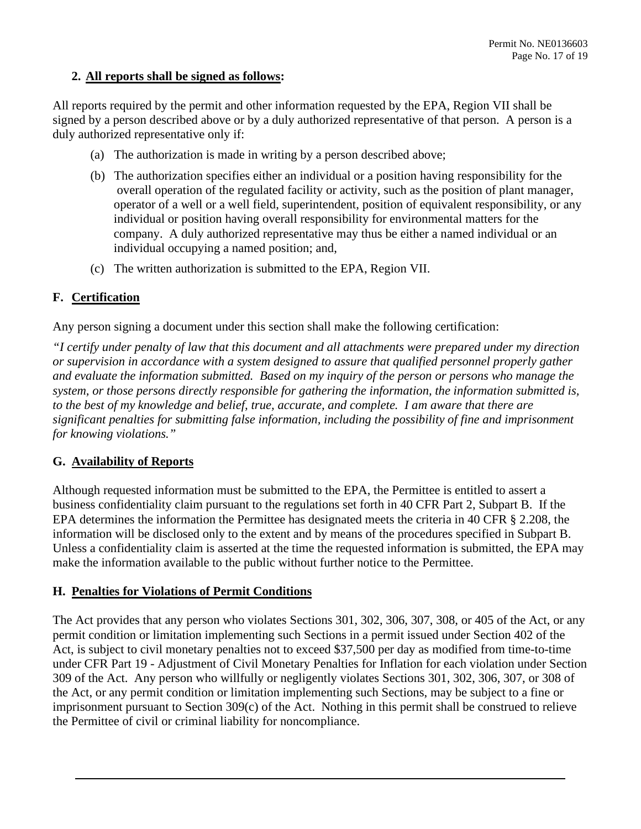## **2. All reports shall be signed as follows:**

 All reports required by the permit and other information requested by the EPA, Region VII shall be signed by a person described above or by a duly authorized representative of that person. A person is a duly authorized representative only if:

- (a) The authorization is made in writing by a person described above;
- operator of a well or a well field, superintendent, position of equivalent responsibility, or any (b) The authorization specifies either an individual or a position having responsibility for the overall operation of the regulated facility or activity, such as the position of plant manager, individual or position having overall responsibility for environmental matters for the company. A duly authorized representative may thus be either a named individual or an individual occupying a named position; and,
- (c) The written authorization is submitted to the EPA, Region VII.

## **F. Certification**

Any person signing a document under this section shall make the following certification:

*"I certify under penalty of law that this document and all attachments were prepared under my direction or supervision in accordance with a system designed to assure that qualified personnel properly gather and evaluate the information submitted. Based on my inquiry of the person or persons who manage the system, or those persons directly responsible for gathering the information, the information submitted is, to the best of my knowledge and belief, true, accurate, and complete. I am aware that there are significant penalties for submitting false information, including the possibility of fine and imprisonment for knowing violations."* 

## **G. Availability of Reports**

Although requested information must be submitted to the EPA, the Permittee is entitled to assert a business confidentiality claim pursuant to the regulations set forth in 40 CFR Part 2, Subpart B. If the EPA determines the information the Permittee has designated meets the criteria in 40 CFR § 2.208, the information will be disclosed only to the extent and by means of the procedures specified in Subpart B. Unless a confidentiality claim is asserted at the time the requested information is submitted, the EPA may make the information available to the public without further notice to the Permittee.

## **H. Penalties for Violations of Permit Conditions**

 the Act, or any permit condition or limitation implementing such Sections, may be subject to a fine or The Act provides that any person who violates Sections 301, 302, 306, 307, 308, or 405 of the Act, or any permit condition or limitation implementing such Sections in a permit issued under Section 402 of the Act, is subject to civil monetary penalties not to exceed \$37,500 per day as modified from time-to-time under CFR Part 19 - Adjustment of Civil Monetary Penalties for Inflation for each violation under Section 309 of the Act. Any person who willfully or negligently violates Sections 301, 302, 306, 307, or 308 of imprisonment pursuant to Section 309(c) of the Act. Nothing in this permit shall be construed to relieve the Permittee of civil or criminal liability for noncompliance.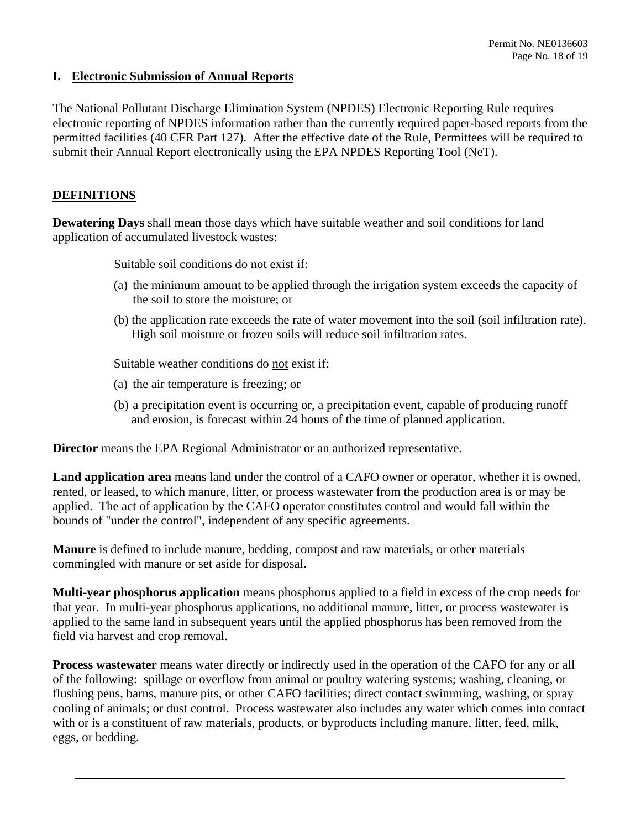## **I. Electronic Submission of Annual Reports**

 electronic reporting of NPDES information rather than the currently required paper-based reports from the permitted facilities (40 CFR Part 127). After the effective date of the Rule, Permittees will be required to The National Pollutant Discharge Elimination System (NPDES) Electronic Reporting Rule requires submit their Annual Report electronically using the EPA NPDES Reporting Tool (NeT).

## **DEFINITIONS**

**Dewatering Days** shall mean those days which have suitable weather and soil conditions for land application of accumulated livestock wastes:

Suitable soil conditions do not exist if:

- (a) the minimum amount to be applied through the irrigation system exceeds the capacity of the soil to store the moisture; or
- (b) the application rate exceeds the rate of water movement into the soil (soil infiltration rate). High soil moisture or frozen soils will reduce soil infiltration rates.

Suitable weather conditions do not exist if:

- (a) the air temperature is freezing; or
- (b) a precipitation event is occurring or, a precipitation event, capable of producing runoff and erosion, is forecast within 24 hours of the time of planned application.

**Director** means the EPA Regional Administrator or an authorized representative.

**Land application area** means land under the control of a CAFO owner or operator, whether it is owned, rented, or leased, to which manure, litter, or process wastewater from the production area is or may be applied. The act of application by the CAFO operator constitutes control and would fall within the bounds of "under the control", independent of any specific agreements.

 **Manure** is defined to include manure, bedding, compost and raw materials, or other materials commingled with manure or set aside for disposal.

**Multi-year phosphorus application** means phosphorus applied to a field in excess of the crop needs for that year. In multi-year phosphorus applications, no additional manure, litter, or process wastewater is applied to the same land in subsequent years until the applied phosphorus has been removed from the field via harvest and crop removal.

 of the following: spillage or overflow from animal or poultry watering systems; washing, cleaning, or **Process wastewater** means water directly or indirectly used in the operation of the CAFO for any or all flushing pens, barns, manure pits, or other CAFO facilities; direct contact swimming, washing, or spray cooling of animals; or dust control. Process wastewater also includes any water which comes into contact with or is a constituent of raw materials, products, or byproducts including manure, litter, feed, milk, eggs, or bedding.